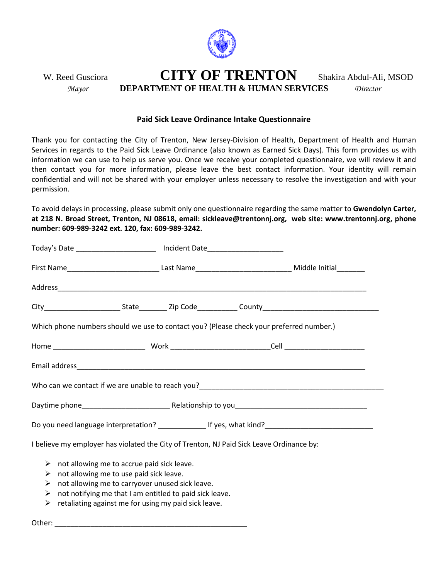

W. Reed Gusciora **CITY OF TRENTON** Shakira Abdul-Ali, MSOD *Mayor* **DEPARTMENT OF HEALTH & HUMAN SERVICES** *Director*

## **Paid Sick Leave Ordinance Intake Questionnaire**

Thank you for contacting the City of Trenton, New Jersey-Division of Health, Department of Health and Human Services in regards to the Paid Sick Leave Ordinance (also known as Earned Sick Days). This form provides us with information we can use to help us serve you. Once we receive your completed questionnaire, we will review it and then contact you for more information, please leave the best contact information. Your identity will remain confidential and will not be shared with your employer unless necessary to resolve the investigation and with your permission.

To avoid delays in processing, please submit only one questionnaire regarding the same matter to **Gwendolyn Carter, at 218 N. Broad Street, Trenton, NJ 08618, email: sickleave@trentonnj.org, web site: www.trentonnj.org, phone number: 609-989-3242 ext. 120, fax: 609-989-3242.**

| Today's Date __________________________ Incident Date___________________________                                                                                                                                                                                                                 |  |  |  |  |  |  |
|--------------------------------------------------------------------------------------------------------------------------------------------------------------------------------------------------------------------------------------------------------------------------------------------------|--|--|--|--|--|--|
|                                                                                                                                                                                                                                                                                                  |  |  |  |  |  |  |
|                                                                                                                                                                                                                                                                                                  |  |  |  |  |  |  |
|                                                                                                                                                                                                                                                                                                  |  |  |  |  |  |  |
| Which phone numbers should we use to contact you? (Please check your preferred number.)                                                                                                                                                                                                          |  |  |  |  |  |  |
|                                                                                                                                                                                                                                                                                                  |  |  |  |  |  |  |
|                                                                                                                                                                                                                                                                                                  |  |  |  |  |  |  |
|                                                                                                                                                                                                                                                                                                  |  |  |  |  |  |  |
|                                                                                                                                                                                                                                                                                                  |  |  |  |  |  |  |
|                                                                                                                                                                                                                                                                                                  |  |  |  |  |  |  |
| I believe my employer has violated the City of Trenton, NJ Paid Sick Leave Ordinance by:                                                                                                                                                                                                         |  |  |  |  |  |  |
| $\triangleright$ not allowing me to accrue paid sick leave.<br>not allowing me to use paid sick leave.<br>➤<br>not allowing me to carryover unused sick leave.<br>➤<br>not notifying me that I am entitled to paid sick leave.<br>➤<br>retaliating against me for using my paid sick leave.<br>➤ |  |  |  |  |  |  |

Other: \_\_\_\_\_\_\_\_\_\_\_\_\_\_\_\_\_\_\_\_\_\_\_\_\_\_\_\_\_\_\_\_\_\_\_\_\_\_\_\_\_\_\_\_\_\_\_\_